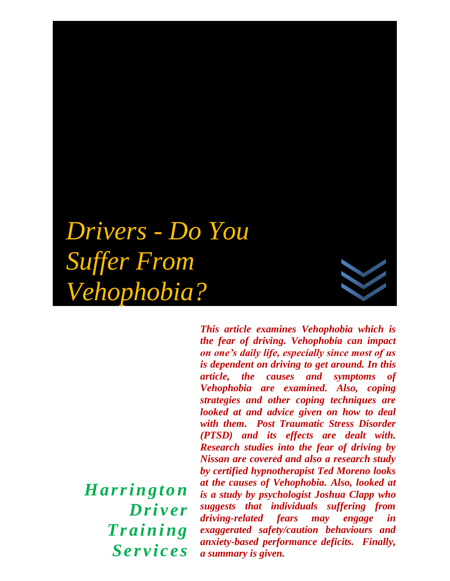# *Drivers - Do You Suffer From Vehophobia?*

*H ar r i ngton Dri ver*   $$ *Se r v i c e s*

*This article examines Vehophobia which is the fear of driving. Vehophobia can impact on one's daily life, especially since most of us is dependent on driving to get around. In this article, the causes and symptoms of Vehophobia are examined. Also, coping strategies and other coping techniques are looked at and advice given on how to deal with them. Post Traumatic Stress Disorder (PTSD) and its effects are dealt with. Research studies into the fear of driving by Nissan are covered and also a research study by certified hypnotherapist Ted Moreno looks at the causes of Vehophobia. Also, looked at is a study by psychologist Joshua Clapp who suggests that individuals suffering from driving-related fears may engage in exaggerated safety/caution behaviours and anxiety-based performance deficits. Finally, a summary is given.*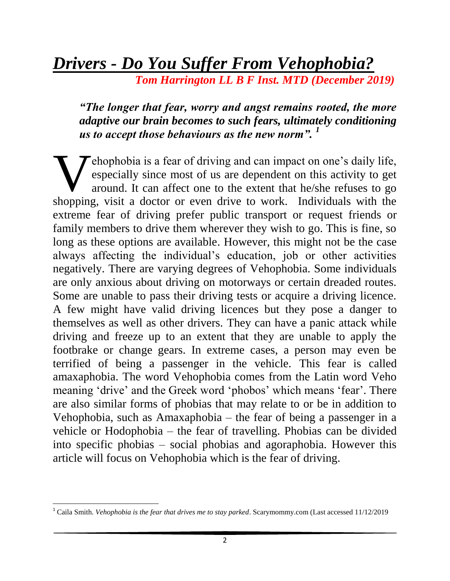# *Drivers - Do You Suffer From Vehophobia?*

 *Tom Harrington LL B F Inst. MTD (December 2019)*

#### *"The longer that fear, worry and angst remains rooted, the more adaptive our brain becomes to such fears, ultimately conditioning us to accept those behaviours as the new norm". <sup>1</sup>*

**T** ehophobia is a fear of driving and can impact on one's daily life, especially since most of us are dependent on this activity to get around. It can affect one to the extent that he/she refuses to go shopping, visit a doctor or even drive to work. Individuals with the extreme fear of driving prefer public transport or request friends or family members to drive them wherever they wish to go. This is fine, so long as these options are available. However, this might not be the case always affecting the individual's education, job or other activities negatively. There are varying degrees of Vehophobia. Some individuals are only anxious about driving on motorways or certain dreaded routes. Some are unable to pass their driving tests or acquire a driving licence. A few might have valid driving licences but they pose a danger to themselves as well as other drivers. They can have a panic attack while driving and freeze up to an extent that they are unable to apply the footbrake or change gears. In extreme cases, a person may even be terrified of being a passenger in the vehicle. This fear is called amaxaphobia. The word Vehophobia comes from the Latin word Veho meaning 'drive' and the Greek word 'phobos' which means 'fear'. There are also similar forms of phobias that may relate to or be in addition to Vehophobia, such as Amaxaphobia – the fear of being a passenger in a vehicle or Hodophobia – the fear of travelling. Phobias can be divided into specific phobias – social phobias and agoraphobia. However this article will focus on Vehophobia which is the fear of driving. W<sub>ohomin</sub>

l

<sup>&</sup>lt;sup>1</sup> Caila Smith. *Vehophobia is the fear that drives me to stay parked*. Scarymommy.com (Last accessed 11/12/2019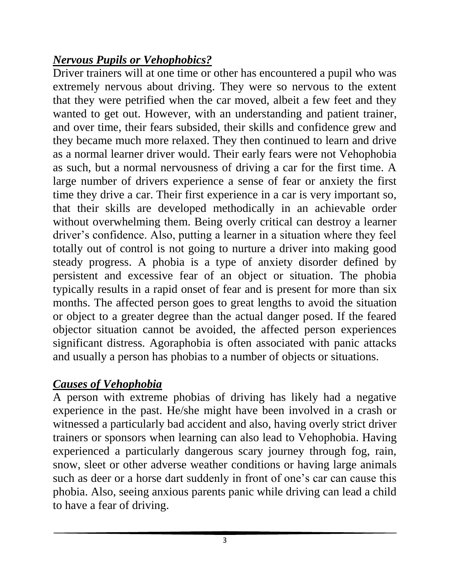## *Nervous Pupils or Vehophobics?*

Driver trainers will at one time or other has encountered a pupil who was extremely nervous about driving. They were so nervous to the extent that they were petrified when the car moved, albeit a few feet and they wanted to get out. However, with an understanding and patient trainer, and over time, their fears subsided, their skills and confidence grew and they became much more relaxed. They then continued to learn and drive as a normal learner driver would. Their early fears were not Vehophobia as such, but a normal nervousness of driving a car for the first time. A large number of drivers experience a sense of fear or anxiety the first time they drive a car. Their first experience in a car is very important so, that their skills are developed methodically in an achievable order without overwhelming them. Being overly critical can destroy a learner driver's confidence. Also, putting a learner in a situation where they feel totally out of control is not going to nurture a driver into making good steady progress. A phobia is a type of anxiety disorder defined by persistent and excessive fear of an object or situation. The phobia typically results in a rapid onset of fear and is present for more than six months. The affected person goes to great lengths to avoid the situation or object to a greater degree than the actual danger posed. If the feared objector situation cannot be avoided, the affected person experiences significant distress. Agoraphobia is often associated with panic attacks and usually a person has phobias to a number of objects or situations.

# *Causes of Vehophobia*

A person with extreme phobias of driving has likely had a negative experience in the past. He/she might have been involved in a crash or witnessed a particularly bad accident and also, having overly strict driver trainers or sponsors when learning can also lead to Vehophobia. Having experienced a particularly dangerous scary journey through fog, rain, snow, sleet or other adverse weather conditions or having large animals such as deer or a horse dart suddenly in front of one's car can cause this phobia. Also, seeing anxious parents panic while driving can lead a child to have a fear of driving.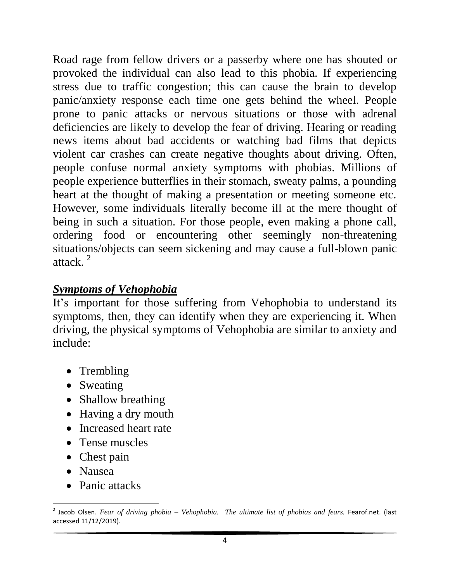Road rage from fellow drivers or a passerby where one has shouted or provoked the individual can also lead to this phobia. If experiencing stress due to traffic congestion; this can cause the brain to develop panic/anxiety response each time one gets behind the wheel. People prone to panic attacks or nervous situations or those with adrenal deficiencies are likely to develop the fear of driving. Hearing or reading news items about bad accidents or watching bad films that depicts violent car crashes can create negative thoughts about driving. Often, people confuse normal anxiety symptoms with phobias. Millions of people experience butterflies in their stomach, sweaty palms, a pounding heart at the thought of making a presentation or meeting someone etc. However, some individuals literally become ill at the mere thought of being in such a situation. For those people, even making a phone call, ordering food or encountering other seemingly non-threatening situations/objects can seem sickening and may cause a full-blown panic attack. <sup>2</sup>

#### *Symptoms of Vehophobia*

It's important for those suffering from Vehophobia to understand its symptoms, then, they can identify when they are experiencing it. When driving, the physical symptoms of Vehophobia are similar to anxiety and include:

- Trembling
- Sweating
- Shallow breathing
- Having a dry mouth
- Increased heart rate
- Tense muscles
- Chest pain
- Nausea
- Panic attacks

l 2 Jacob Olsen. *Fear of driving phobia – Vehophobia. The ultimate list of phobias and fears.* Fearof.net. (last accessed 11/12/2019).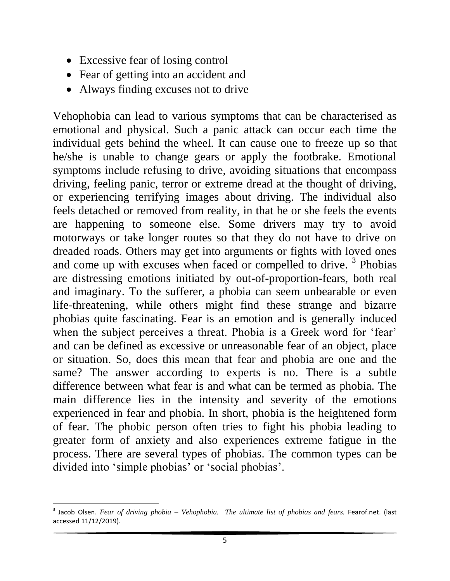- Excessive fear of losing control
- Fear of getting into an accident and
- Always finding excuses not to drive

Vehophobia can lead to various symptoms that can be characterised as emotional and physical. Such a panic attack can occur each time the individual gets behind the wheel. It can cause one to freeze up so that he/she is unable to change gears or apply the footbrake. Emotional symptoms include refusing to drive, avoiding situations that encompass driving, feeling panic, terror or extreme dread at the thought of driving, or experiencing terrifying images about driving. The individual also feels detached or removed from reality, in that he or she feels the events are happening to someone else. Some drivers may try to avoid motorways or take longer routes so that they do not have to drive on dreaded roads. Others may get into arguments or fights with loved ones and come up with excuses when faced or compelled to drive.  $3$  Phobias are distressing emotions initiated by out-of-proportion-fears, both real and imaginary. To the sufferer, a phobia can seem unbearable or even life-threatening, while others might find these strange and bizarre phobias quite fascinating. Fear is an emotion and is generally induced when the subject perceives a threat. Phobia is a Greek word for 'fear' and can be defined as excessive or unreasonable fear of an object, place or situation. So, does this mean that fear and phobia are one and the same? The answer according to experts is no. There is a subtle difference between what fear is and what can be termed as phobia. The main difference lies in the intensity and severity of the emotions experienced in fear and phobia. In short, phobia is the heightened form of fear. The phobic person often tries to fight his phobia leading to greater form of anxiety and also experiences extreme fatigue in the process. There are several types of phobias. The common types can be divided into 'simple phobias' or 'social phobias'.

l 3 Jacob Olsen. *Fear of driving phobia – Vehophobia. The ultimate list of phobias and fears.* Fearof.net. (last accessed 11/12/2019).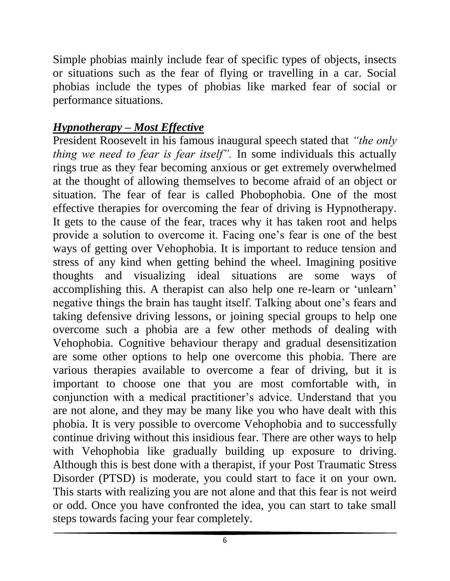Simple phobias mainly include fear of specific types of objects, insects or situations such as the fear of flying or travelling in a car. Social phobias include the types of phobias like marked fear of social or performance situations.

#### *Hypnotherapy – Most Effective*

President Roosevelt in his famous inaugural speech stated that *"the only thing we need to fear is fear itself".* In some individuals this actually rings true as they fear becoming anxious or get extremely overwhelmed at the thought of allowing themselves to become afraid of an object or situation. The fear of fear is called Phobophobia. One of the most effective therapies for overcoming the fear of driving is Hypnotherapy. It gets to the cause of the fear, traces why it has taken root and helps provide a solution to overcome it. Facing one's fear is one of the best ways of getting over Vehophobia. It is important to reduce tension and stress of any kind when getting behind the wheel. Imagining positive thoughts and visualizing ideal situations are some ways of accomplishing this. A therapist can also help one re-learn or 'unlearn' negative things the brain has taught itself. Talking about one's fears and taking defensive driving lessons, or joining special groups to help one overcome such a phobia are a few other methods of dealing with Vehophobia. Cognitive behaviour therapy and gradual desensitization are some other options to help one overcome this phobia. There are various therapies available to overcome a fear of driving, but it is important to choose one that you are most comfortable with, in conjunction with a medical practitioner's advice. Understand that you are not alone, and they may be many like you who have dealt with this phobia. It is very possible to overcome Vehophobia and to successfully continue driving without this insidious fear. There are other ways to help with Vehophobia like gradually building up exposure to driving. Although this is best done with a therapist, if your Post Traumatic Stress Disorder (PTSD) is moderate, you could start to face it on your own. This starts with realizing you are not alone and that this fear is not weird or odd. Once you have confronted the idea, you can start to take small steps towards facing your fear completely.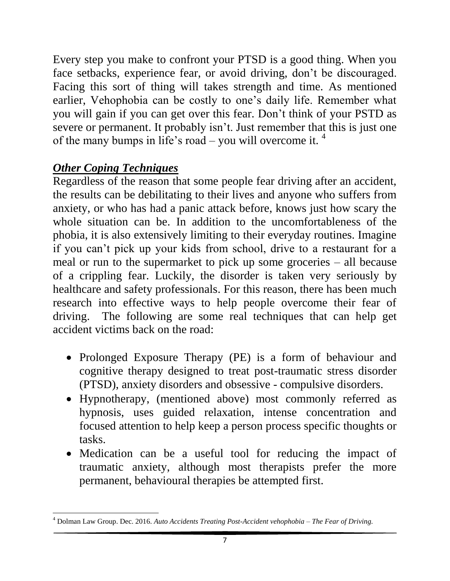Every step you make to confront your PTSD is a good thing. When you face setbacks, experience fear, or avoid driving, don't be discouraged. Facing this sort of thing will takes strength and time. As mentioned earlier, Vehophobia can be costly to one's daily life. Remember what you will gain if you can get over this fear. Don't think of your PSTD as severe or permanent. It probably isn't. Just remember that this is just one of the many bumps in life's road – you will overcome it.  $4$ 

## *Other Coping Techniques*

Regardless of the reason that some people fear driving after an accident, the results can be debilitating to their lives and anyone who suffers from anxiety, or who has had a panic attack before, knows just how scary the whole situation can be. In addition to the uncomfortableness of the phobia, it is also extensively limiting to their everyday routines. Imagine if you can't pick up your kids from school, drive to a restaurant for a meal or run to the supermarket to pick up some groceries – all because of a crippling fear. Luckily, the disorder is taken very seriously by healthcare and safety professionals. For this reason, there has been much research into effective ways to help people overcome their fear of driving. The following are some real techniques that can help get accident victims back on the road:

- Prolonged Exposure Therapy (PE) is a form of behaviour and cognitive therapy designed to treat post-traumatic stress disorder (PTSD), anxiety disorders and obsessive - compulsive disorders.
- Hypnotherapy, (mentioned above) most commonly referred as hypnosis, uses guided relaxation, intense concentration and focused attention to help keep a person process specific thoughts or tasks.
- Medication can be a useful tool for reducing the impact of traumatic anxiety, although most therapists prefer the more permanent, behavioural therapies be attempted first.

 $\overline{\phantom{a}}$ <sup>4</sup> Dolman Law Group. Dec. 2016. *Auto Accidents Treating Post-Accident vehophobia – The Fear of Driving.*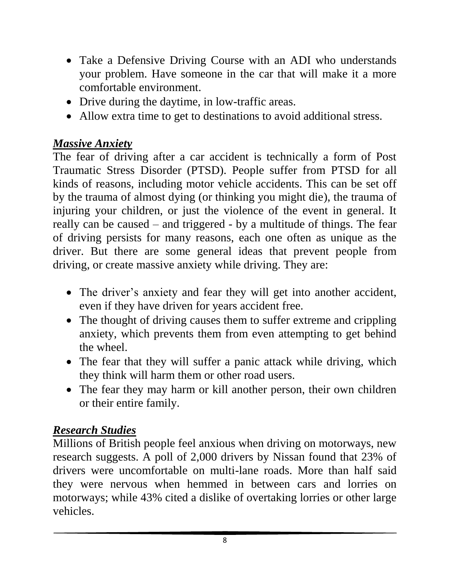- Take a Defensive Driving Course with an ADI who understands your problem. Have someone in the car that will make it a more comfortable environment.
- Drive during the daytime, in low-traffic areas.
- Allow extra time to get to destinations to avoid additional stress.

#### *Massive Anxiety*

The fear of driving after a car accident is technically a form of Post Traumatic Stress Disorder (PTSD). People suffer from PTSD for all kinds of reasons, including motor vehicle accidents. This can be set off by the trauma of almost dying (or thinking you might die), the trauma of injuring your children, or just the violence of the event in general. It really can be caused – and triggered - by a multitude of things. The fear of driving persists for many reasons, each one often as unique as the driver. But there are some general ideas that prevent people from driving, or create massive anxiety while driving. They are:

- The driver's anxiety and fear they will get into another accident, even if they have driven for years accident free.
- The thought of driving causes them to suffer extreme and crippling anxiety, which prevents them from even attempting to get behind the wheel.
- The fear that they will suffer a panic attack while driving, which they think will harm them or other road users.
- The fear they may harm or kill another person, their own children or their entire family.

#### *Research Studies*

Millions of British people feel anxious when driving on motorways, new research suggests. A poll of 2,000 drivers by Nissan found that 23% of drivers were uncomfortable on multi-lane roads. More than half said they were nervous when hemmed in between cars and lorries on motorways; while 43% cited a dislike of overtaking lorries or other large vehicles.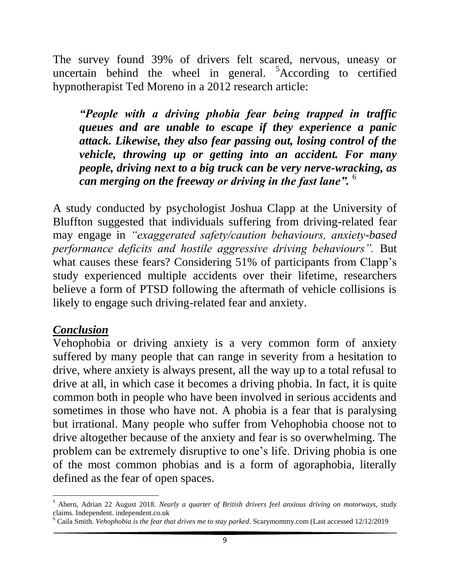The survey found 39% of drivers felt scared, nervous, uneasy or uncertain behind the wheel in general. <sup>5</sup>According to certified hypnotherapist Ted Moreno in a 2012 research article:

*"People with a driving phobia fear being trapped in traffic queues and are unable to escape if they experience a panic attack. Likewise, they also fear passing out, losing control of the vehicle, throwing up or getting into an accident. For many people, driving next to a big truck can be very nerve-wracking, as can merging on the freeway or driving in the fast lane".* <sup>6</sup>

A study conducted by psychologist Joshua Clapp at the University of Bluffton suggested that individuals suffering from driving-related fear may engage in *"exaggerated safety/caution behaviours, anxiety-based performance deficits and hostile aggressive driving behaviours".* But what causes these fears? Considering 51% of participants from Clapp's study experienced multiple accidents over their lifetime, researchers believe a form of PTSD following the aftermath of vehicle collisions is likely to engage such driving-related fear and anxiety.

#### *Conclusion*

Vehophobia or driving anxiety is a very common form of anxiety suffered by many people that can range in severity from a hesitation to drive, where anxiety is always present, all the way up to a total refusal to drive at all, in which case it becomes a driving phobia. In fact, it is quite common both in people who have been involved in serious accidents and sometimes in those who have not. A phobia is a fear that is paralysing but irrational. Many people who suffer from Vehophobia choose not to drive altogether because of the anxiety and fear is so overwhelming. The problem can be extremely disruptive to one's life. Driving phobia is one of the most common phobias and is a form of agoraphobia, literally defined as the fear of open spaces.

 $\overline{\phantom{a}}$ <sup>5</sup> Ahern, Adrian 22 August 2018. *Nearly a quarter of British drivers feel anxious driving on motorways,* study claims. Independent. independent.co.uk

<sup>6</sup> Caila Smith. *Vehophobia is the fear that drives me to stay parked*. Scarymommy.com (Last accessed 12/12/2019